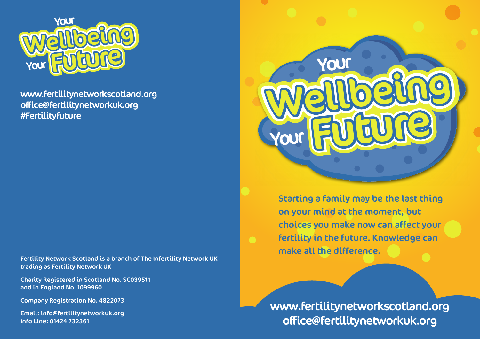

www.fertilitynetworkscotland.org offi ce@fertilitynetworkuk.org #Fertilityfuture <sup>T</sup>inalar

Fertility Network Scotland is a branch of The Infertility Network UK trading as Fertility Network UK

Charity Registered in Scotland No. SC039511 and in England No. 1099960

Company Registration No. 4822073

Email: info@fertilitynetworkuk.org Info Line: 01424 732361



Starting a family may be the last thing on your mind at the moment, but choices you make now can affect your fertility in the future. Knowledge can make all the difference.

www.fertilitynetworkscotland.org office@fertilitynetworkuk.org